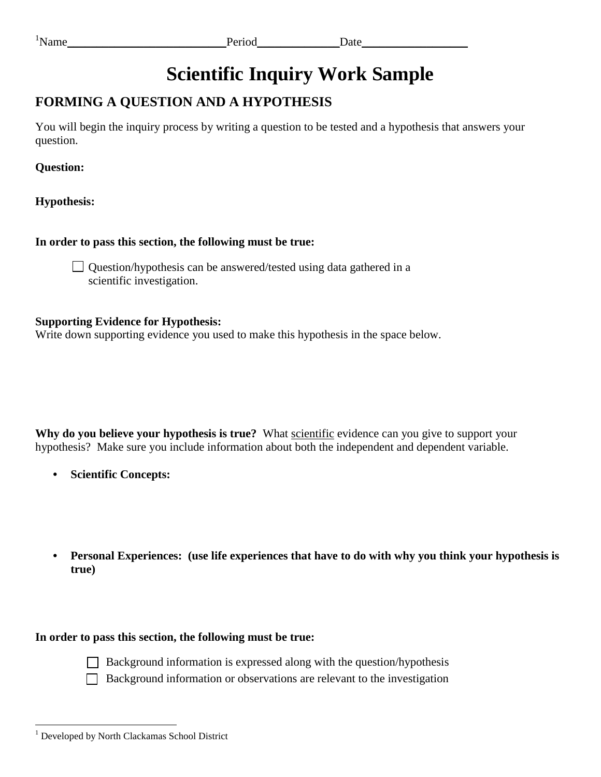## **FORMING A QUESTION AND A HYPOTHESIS**

You will begin the inquiry process by writing a question to be tested and a hypothesis that answers your question.

**Question:** 

**Hypothesis:** 

**In order to pass this section, the following must be true:** 

Question/hypothesis can be answered/tested using data gathered in a scientific investigation.

### **Supporting Evidence for Hypothesis:**

Write down supporting evidence you used to make this hypothesis in the space below.

 **Why do you believe your hypothesis is true?** What scientific evidence can you give to support your hypothesis? Make sure you include information about both the independent and dependent variable.

- **• Scientific Concepts:**
- **• Personal Experiences: (use life experiences that have to do with why you think your hypothesis is true)**



- Background information is expressed along with the question/hypothesis
- $\Box$  Background information or observations are relevant to the investigation

 $\overline{a}$ <sup>1</sup> Developed by North Clackamas School District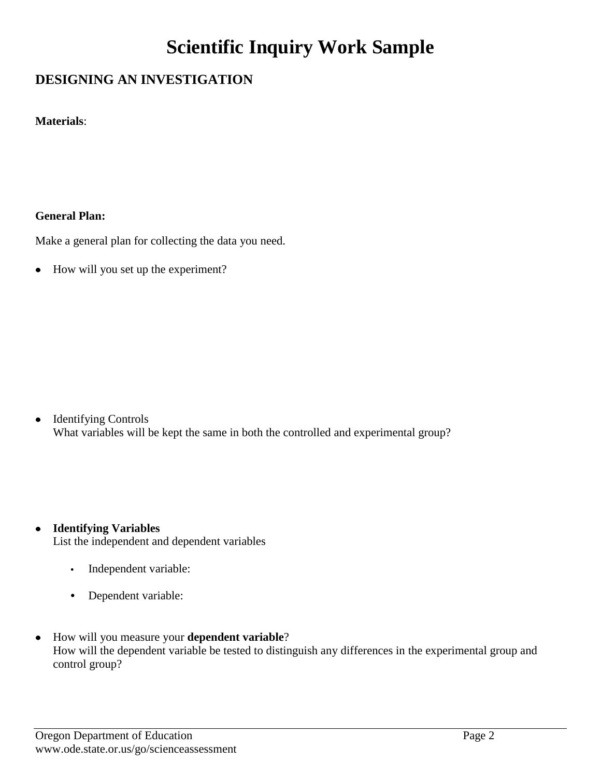## **DESIGNING AN INVESTIGATION**

**Materials**:

### **General Plan:**

Make a general plan for collecting the data you need.

 $\bullet$ How will you set up the experiment?

Identifying Controls  $\bullet$ What variables will be kept the same in both the controlled and experimental group?

**Identifying Variables**   $\bullet$ List the independent and dependent variables

- **•** Independent variable:
- **•** Dependent variable:
- How will you measure your dependent variable?  $\bullet$ How will the dependent variable be tested to distinguish any differences in the experimental group and control group?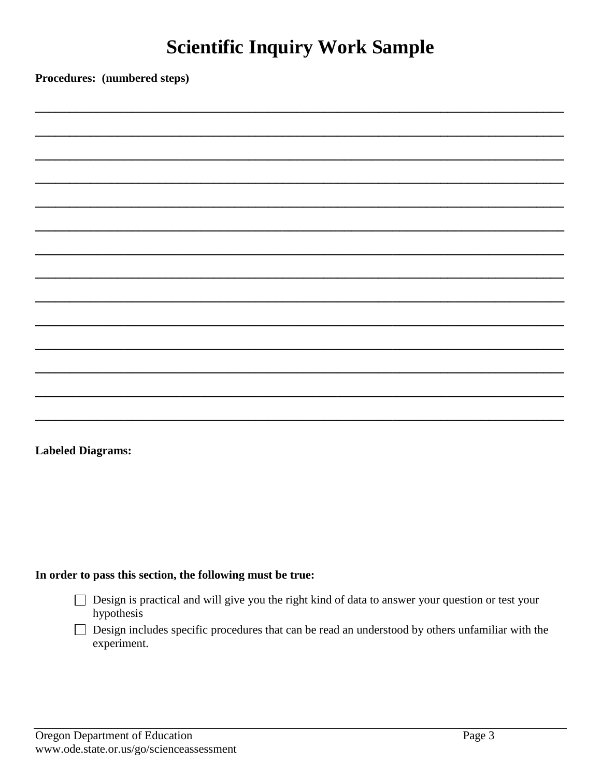Procedures: (numbered steps)

**Labeled Diagrams:** 

- □ Design is practical and will give you the right kind of data to answer your question or test your hypothesis
- $\Box$  Design includes specific procedures that can be read an understood by others unfamiliar with the experiment.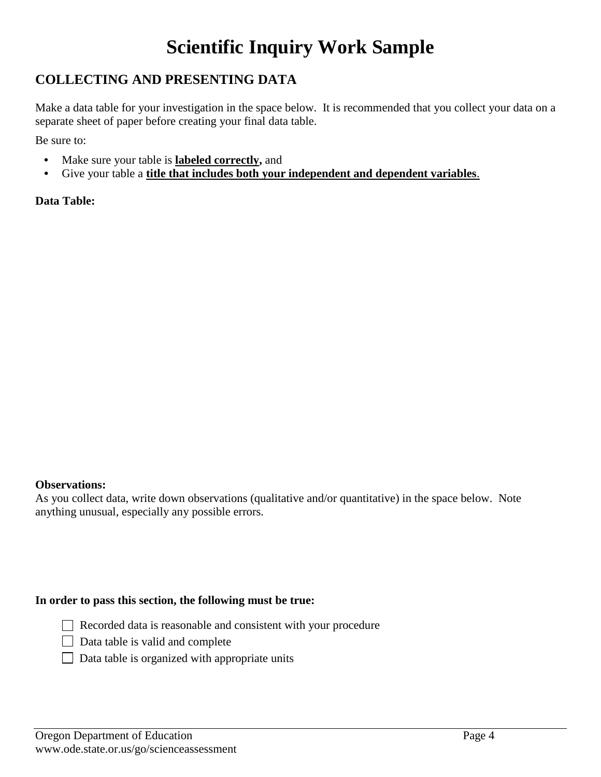### **COLLECTING AND PRESENTING DATA**

 separate sheet of paper before creating your final data table. Make a data table for your investigation in the space below. It is recommended that you collect your data on a

Be sure to:

- **•** Make sure your table is **labeled correctly,** and
- **•** Give your table a **title that includes both your independent and dependent variables**.

**Data Table:** 

### **Observations:**

As you collect data, write down observations (qualitative and/or quantitative) in the space below. Note anything unusual, especially any possible errors.

- Recorded data is reasonable and consistent with your procedure
- $\Box$  Data table is valid and complete
- $\Box$  Data table is organized with appropriate units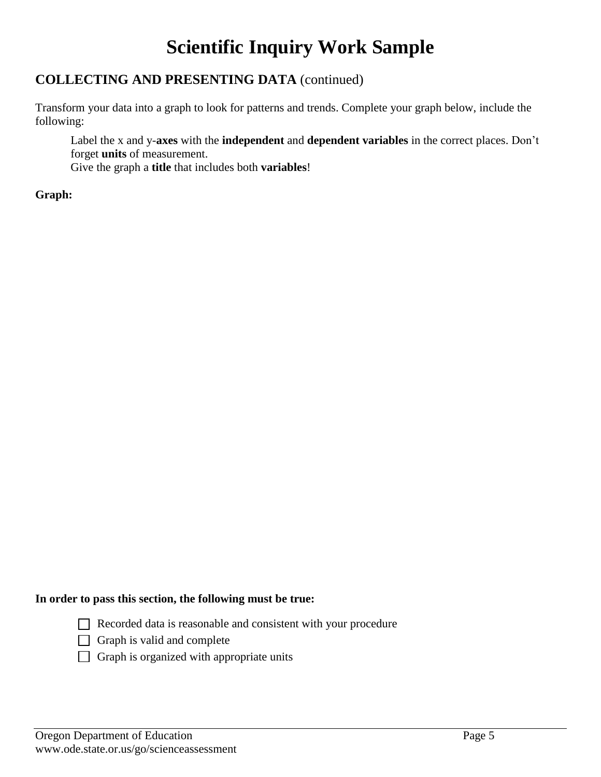### **COLLECTING AND PRESENTING DATA** (continued)

 Transform your data into a graph to look for patterns and trends. Complete your graph below, include the following:

Label the x and y-**axes** with the **independent** and **dependent variables** in the correct places. Don't forget **units** of measurement.

Give the graph a **title** that includes both **variables**!

### **Graph:**

- Recorded data is reasonable and consistent with your procedure
- $\Box$  Graph is valid and complete
- $\Box$  Graph is organized with appropriate units